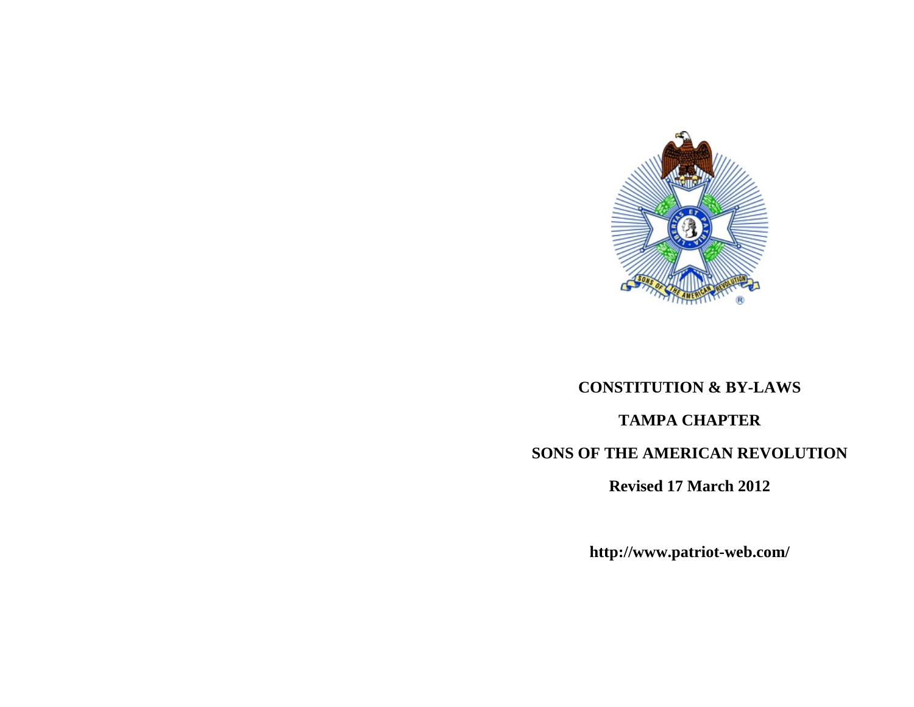

# **CONSTITUTION & BY-LAWS TAMPA CHAPTER SONS OF THE AMERICAN REVOLUTION**

**Revised 17 March 2012** 

**http://www.patriot-web.com/**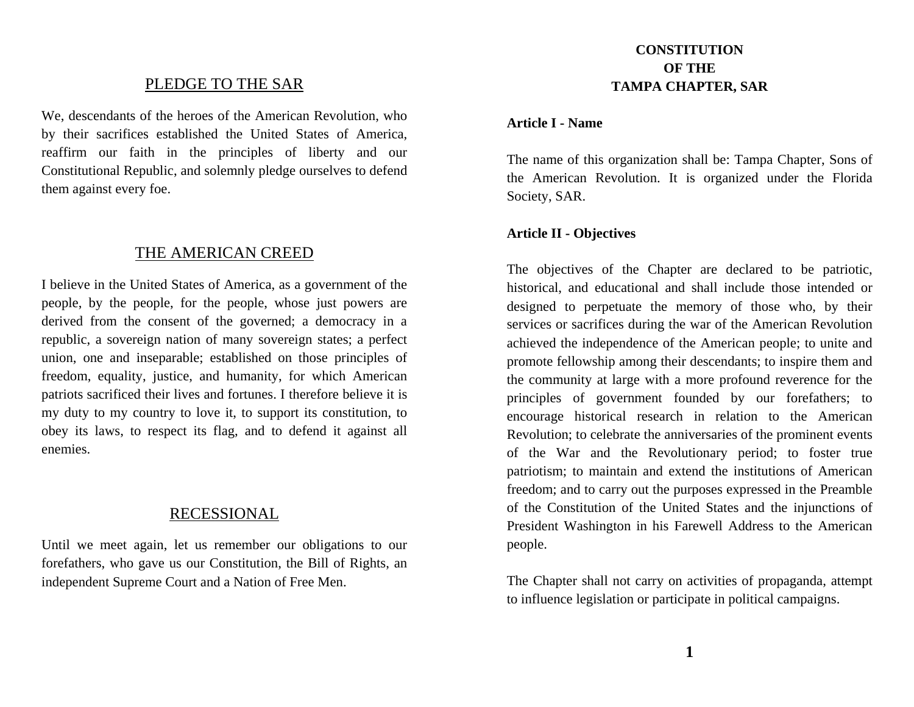## PLEDGE TO THE SAR

We, descendants of the heroes of the American Revolution, who by their sacrifices established the United States of America, reaffirm our faith in the principles of liberty and our Constitutional Republic, and solemnly pledge ourselves to defend them against every foe.

## THE AMERICAN CREED

I believe in the United States of America, as a government of the people, by the people, for the people, whose just powers are derived from the consent of the governed; a democracy in a republic, a sovereign nation of many sovereign states; a perfect union, one and inseparable; established on those principles of freedom, equality, justice, and humanity, for which American patriots sacrificed their lives and fortunes. I therefore believe it is my duty to my country to love it, to support its constitution, to obey its laws, to respect its flag, and to defend it against all enemies.

## RECESSIONAL

Until we meet again, let us remember our obligations to our forefathers, who gave us our Constitution, the Bill of Rights, an independent Supreme Court and a Nation of Free Men.

# **CONSTITUTION OF THE TAMPA CHAPTER, SAR**

#### **Article I - Name**

The name of this organization shall be: Tampa Chapter, Sons of the American Revolution. It is organized under the Florida Society, SAR.

#### **Article II - Objectives**

The objectives of the Chapter are declared to be patriotic, historical, and educational and shall include those intended or designed to perpetuate the memory of those who, by their services or sacrifices during the war of the American Revolution achieved the independence of the American people; to unite and promote fellowship among their descendants; to inspire them and the community at large with a more profound reverence for the principles of government founded by our forefathers; to encourage historical research in relation to the American Revolution; to celebrate the anniversaries of the prominent events of the War and the Revolutionary period; to foster true patriotism; to maintain and extend the institutions of American freedom; and to carry out the purposes expressed in the Preamble of the Constitution of the United States and the injunctions of President Washington in his Farewell Address to the American people.

The Chapter shall not carry on activities of propaganda, attempt to influence legislation or participate in political campaigns.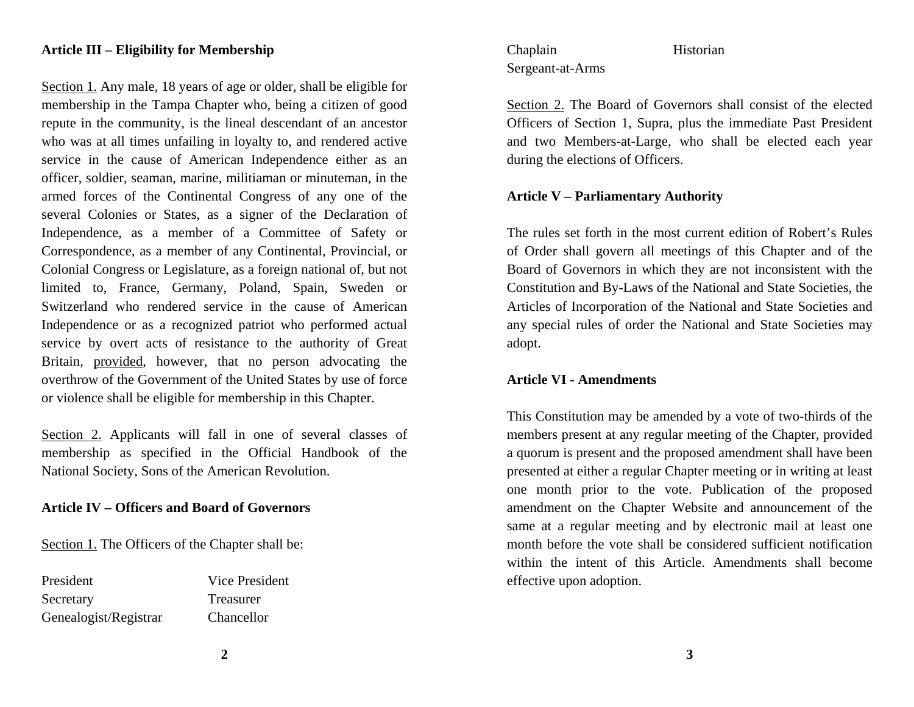### **Article III – Eligibility for Membership**

Section 1. Any male, 18 years of age or older, shall be eligible for membership in the Tampa Chapter who, being a citizen of good repute in the community, is the lineal descendant of an ancestor who was at all times unfailing in loyalty to, and rendered active service in the cause of American Independence either as an officer, soldier, seaman, marine, militiaman or minuteman, in the armed forces of the Continental Congress of any one of the several Colonies or States, as a signer of the Declaration of Independence, as a member of a Committee of Safety or Correspondence, as a member of any Continental, Provincial, or Colonial Congress or Legislature, as a foreign national of, but not limited to, France, Germany, Poland, Spain, Sweden or Switzerland who rendered service in the cause of American Independence or as a recognized patriot who performed actual service by overt acts of resistance to the authority of Great Britain, provided, however, that no person advocating the overthrow of the Government of the United States by use of force or violence shall be eligible for membership in this Chapter.

Section 2. Applicants will fall in one of several classes of membership as specified in the Official Handbook of the National Society, Sons of the American Revolution.

#### **Article IV – Officers and Board of Governors**

Section 1. The Officers of the Chapter shall be:

President Vice President Secretary Treasurer Genealogist/Registrar Chancellor

## Chaplain Historian Sergeant-at-Arms

Section 2. The Board of Governors shall consist of the elected Officers of Section 1, Supra, plus the immediate Past President and two Members-at-Large, who shall be elected each year during the elections of Officers.

## **Article V – Parliamentary Authority**

The rules set forth in the most current edition of Robert's Rules of Order shall govern all meetings of this Chapter and of the Board of Governors in which they are not inconsistent with the Constitution and By-Laws of the National and State Societies, the Articles of Incorporation of the National and State Societies and any special rules of order the National and State Societies may adopt.

## **Article VI - Amendments**

This Constitution may be amended by a vote of two-thirds of the members present at any regular meeting of the Chapter, provided a quorum is present and the proposed amendment shall have been presented at either a regular Chapter meeting or in writing at least one month prior to the vote. Publication of the proposed amendment on the Chapter Website and announcement of the same at a regular meeting and by electronic mail at least one month before the vote shall be considered sufficient notification within the intent of this Article. Amendments shall become effective upon adoption.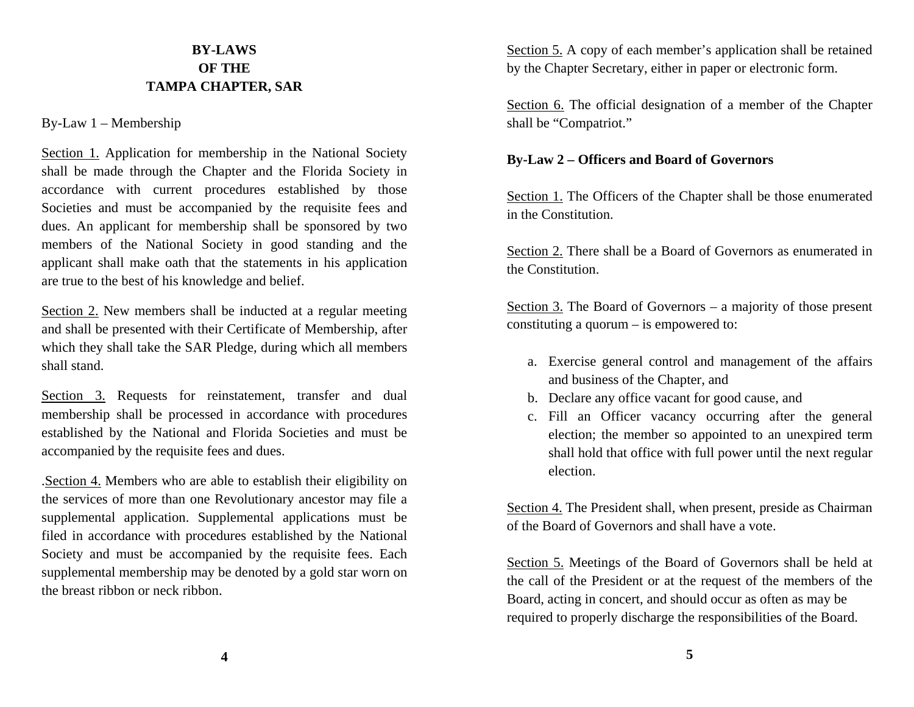# **BY-LAWS OF THE TAMPA CHAPTER, SAR**

## By-Law 1 – Membership

Section 1. Application for membership in the National Society shall be made through the Chapter and the Florida Society in accordance with current procedures established by those Societies and must be accompanied by the requisite fees and dues. An applicant for membership shall be sponsored by two members of the National Society in good standing and the applicant shall make oath that the statements in his application are true to the best of his knowledge and belief.

Section 2. New members shall be inducted at a regular meeting and shall be presented with their Certificate of Membership, after which they shall take the SAR Pledge, during which all members shall stand.

Section 3. Requests for reinstatement, transfer and dual membership shall be processed in accordance with procedures established by the National and Florida Societies and must be accompanied by the requisite fees and dues.

.Section 4. Members who are able to establish their eligibility on the services of more than one Revolutionary ancestor may file a supplemental application. Supplemental applications must be filed in accordance with procedures established by the National Society and must be accompanied by the requisite fees. Each supplemental membership may be denoted by a gold star worn on the breast ribbon or neck ribbon.

Section 5. A copy of each member's application shall be retained by the Chapter Secretary, either in paper or electronic form.

Section 6. The official designation of a member of the Chapter shall be "Compatriot."

## **By-Law 2 – Officers and Board of Governors**

Section 1. The Officers of the Chapter shall be those enumerated in the Constitution.

Section 2. There shall be a Board of Governors as enumerated in the Constitution.

Section 3. The Board of Governors – a majority of those present constituting a quorum – is empowered to:

- a. Exercise general control and management of the affairs and business of the Chapter, and
- b. Declare any office vacant for good cause, and
- c. Fill an Officer vacancy occurring after the general election; the member so appointed to an unexpired term shall hold that office with full power until the next regular election.

Section 4. The President shall, when present, preside as Chairman of the Board of Governors and shall have a vote.

Section 5. Meetings of the Board of Governors shall be held at the call of the President or at the request of the members of the Board, acting in concert, and should occur as often as may be required to properly discharge the responsibilities of the Board.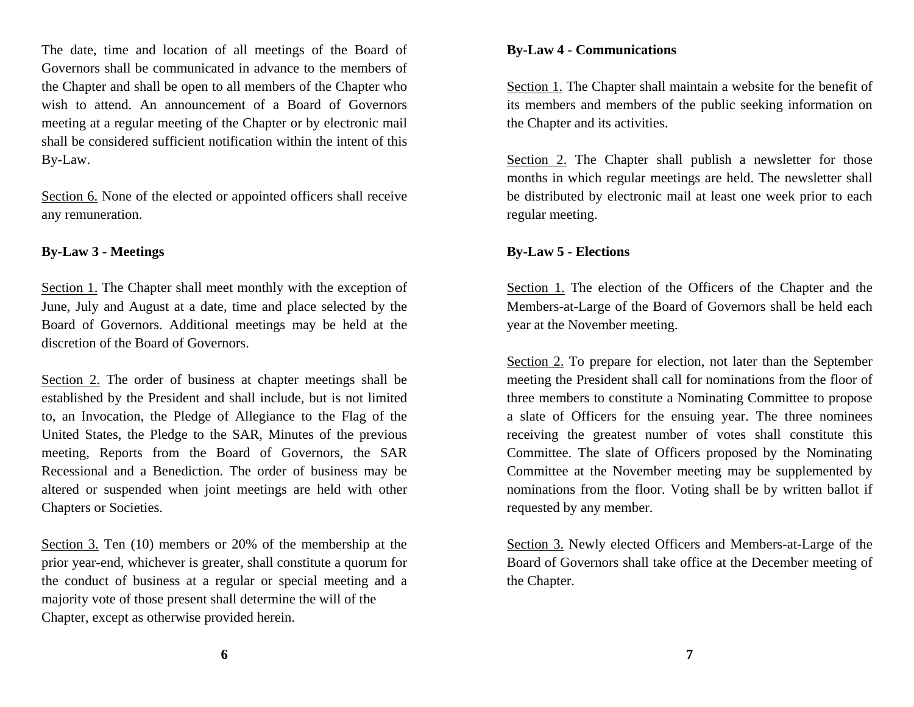The date, time and location of all meetings of the Board of Governors shall be communicated in advance to the members of the Chapter and shall be open to all members of the Chapter who wish to attend. An announcement of a Board of Governors meeting at a regular meeting of the Chapter or by electronic mail shall be considered sufficient notification within the intent of this By-Law.

Section 6. None of the elected or appointed officers shall receive any remuneration.

## **By-Law 3 - Meetings**

Section 1. The Chapter shall meet monthly with the exception of June, July and August at a date, time and place selected by the Board of Governors. Additional meetings may be held at the discretion of the Board of Governors.

Section 2. The order of business at chapter meetings shall be established by the President and shall include, but is not limited to, an Invocation, the Pledge of Allegiance to the Flag of the United States, the Pledge to the SAR, Minutes of the previous meeting, Reports from the Board of Governors, the SAR Recessional and a Benediction. The order of business may be altered or suspended when joint meetings are held with other Chapters or Societies.

Section 3. Ten (10) members or 20% of the membership at the prior year-end, whichever is greater, shall constitute a quorum for the conduct of business at a regular or special meeting and a majority vote of those present shall determine the will of the Chapter, except as otherwise provided herein.

### **By-Law 4 - Communications**

Section 1. The Chapter shall maintain a website for the benefit of its members and members of the public seeking information on the Chapter and its activities.

Section 2. The Chapter shall publish a newsletter for those months in which regular meetings are held. The newsletter shall be distributed by electronic mail at least one week prior to each regular meeting.

## **By-Law 5 - Elections**

Section 1. The election of the Officers of the Chapter and the Members-at-Large of the Board of Governors shall be held each year at the November meeting.

Section 2. To prepare for election, not later than the September meeting the President shall call for nominations from the floor of three members to constitute a Nominating Committee to propose a slate of Officers for the ensuing year. The three nominees receiving the greatest number of votes shall constitute this Committee. The slate of Officers proposed by the Nominating Committee at the November meeting may be supplemented by nominations from the floor. Voting shall be by written ballot if requested by any member.

Section 3. Newly elected Officers and Members-at-Large of the Board of Governors shall take office at the December meeting of the Chapter.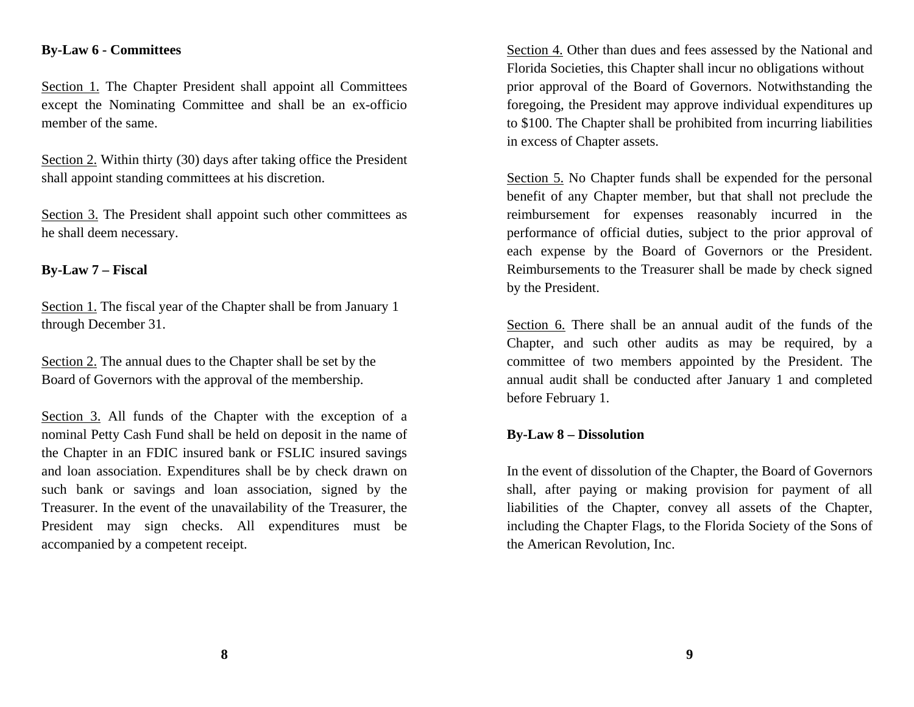## **By-Law 6 - Committees**

Section 1. The Chapter President shall appoint all Committees except the Nominating Committee and shall be an ex-officio member of the same.

Section 2. Within thirty (30) days after taking office the President shall appoint standing committees at his discretion.

Section 3. The President shall appoint such other committees as he shall deem necessary.

## **By-Law 7 – Fiscal**

Section 1. The fiscal year of the Chapter shall be from January 1 through December 31.

Section 2. The annual dues to the Chapter shall be set by the Board of Governors with the approval of the membership.

Section 3. All funds of the Chapter with the exception of a nominal Petty Cash Fund shall be held on deposit in the name of the Chapter in an FDIC insured bank or FSLIC insured savings and loan association. Expenditures shall be by check drawn on such bank or savings and loan association, signed by the Treasurer. In the event of the unavailability of the Treasurer, the President may sign checks. All expenditures must be accompanied by a competent receipt.

Section 4. Other than dues and fees assessed by the National and Florida Societies, this Chapter shall incur no obligations without prior approval of the Board of Governors. Notwithstanding the foregoing, the President may approve individual expenditures up to \$100. The Chapter shall be prohibited from incurring liabilities in excess of Chapter assets.

Section 5. No Chapter funds shall be expended for the personal benefit of any Chapter member, but that shall not preclude the reimbursement for expenses reasonably incurred in the performance of official duties, subject to the prior approval of each expense by the Board of Governors or the President. Reimbursements to the Treasurer shall be made by check signed by the President.

Section 6. There shall be an annual audit of the funds of the Chapter, and such other audits as may be required, by a committee of two members appointed by the President. The annual audit shall be conducted after January 1 and completed before February 1.

## **By-Law 8 – Dissolution**

In the event of dissolution of the Chapter, the Board of Governors shall, after paying or making provision for payment of all liabilities of the Chapter, convey all assets of the Chapter, including the Chapter Flags, to the Florida Society of the Sons of the American Revolution, Inc.